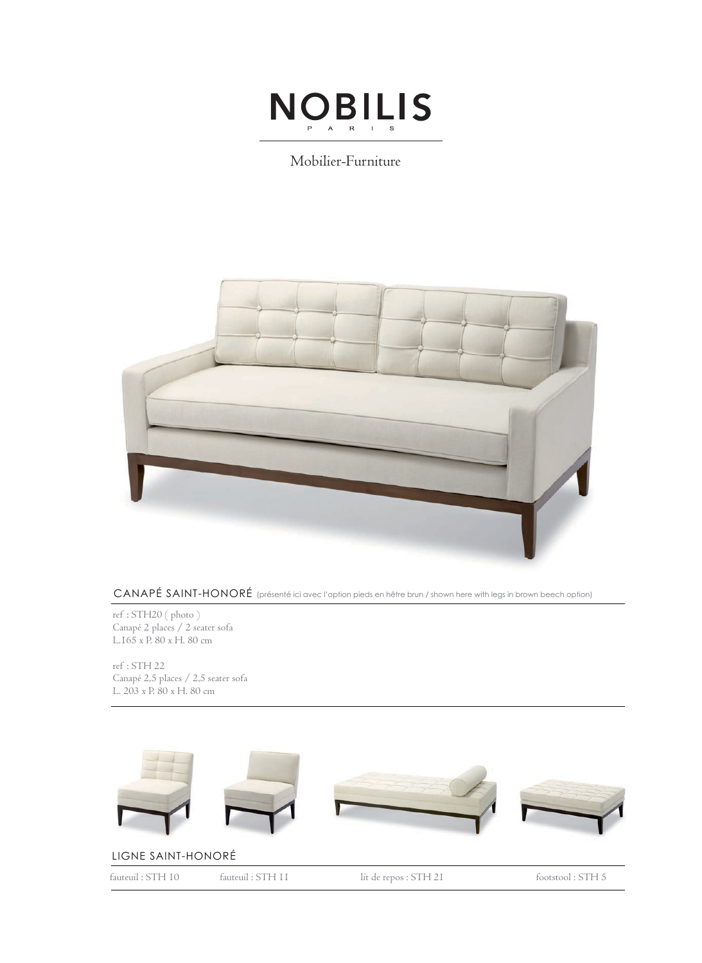

## Mobilier-Furniture



CANAPÉ SAINT-HONORÉ (présenté ici avec l'option pieds en hêtre brun / shown here with legs in brown beech option)

ref : STH20 ( photo ) Canapé 2 places / 2 seater sofa L.165 x P. 80 x H. 80 cm

ref : STH 22 Canapé 2,5 places / 2,5 seater sofa L. 203 x P. 80 x H. 80 cm



## LIGNE SAINT-HONORÉ

fauteuil : STH 10 fauteuil : STH 11 lit de repos : STH 21 footstool : STH 5